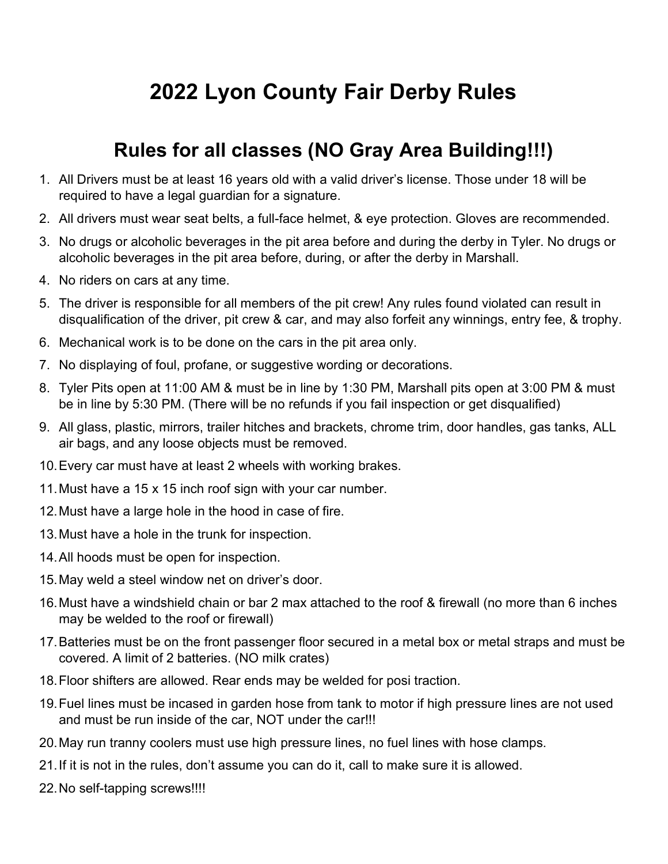## 2022 Lyon County Fair Derby Rules

### Rules for all classes (NO Gray Area Building!!!)

- 1. All Drivers must be at least 16 years old with a valid driver's license. Those under 18 will be required to have a legal guardian for a signature.
- 2. All drivers must wear seat belts, a full-face helmet, & eye protection. Gloves are recommended.
- 3. No drugs or alcoholic beverages in the pit area before and during the derby in Tyler. No drugs or alcoholic beverages in the pit area before, during, or after the derby in Marshall.
- 4. No riders on cars at any time.
- 5. The driver is responsible for all members of the pit crew! Any rules found violated can result in disqualification of the driver, pit crew & car, and may also forfeit any winnings, entry fee, & trophy.
- 6. Mechanical work is to be done on the cars in the pit area only.
- 7. No displaying of foul, profane, or suggestive wording or decorations.
- 8. Tyler Pits open at 11:00 AM & must be in line by 1:30 PM, Marshall pits open at 3:00 PM & must be in line by 5:30 PM. (There will be no refunds if you fail inspection or get disqualified)
- 9. All glass, plastic, mirrors, trailer hitches and brackets, chrome trim, door handles, gas tanks, ALL air bags, and any loose objects must be removed.
- 10. Every car must have at least 2 wheels with working brakes.
- 11. Must have a 15 x 15 inch roof sign with your car number.
- 12. Must have a large hole in the hood in case of fire.
- 13. Must have a hole in the trunk for inspection.
- 14. All hoods must be open for inspection.
- 15. May weld a steel window net on driver's door.
- 16. Must have a windshield chain or bar 2 max attached to the roof & firewall (no more than 6 inches may be welded to the roof or firewall)
- 17. Batteries must be on the front passenger floor secured in a metal box or metal straps and must be covered. A limit of 2 batteries. (NO milk crates)
- 18. Floor shifters are allowed. Rear ends may be welded for posi traction.
- 19. Fuel lines must be incased in garden hose from tank to motor if high pressure lines are not used and must be run inside of the car, NOT under the car!!!
- 20. May run tranny coolers must use high pressure lines, no fuel lines with hose clamps.
- 21. If it is not in the rules, don't assume you can do it, call to make sure it is allowed.
- 22. No self-tapping screws!!!!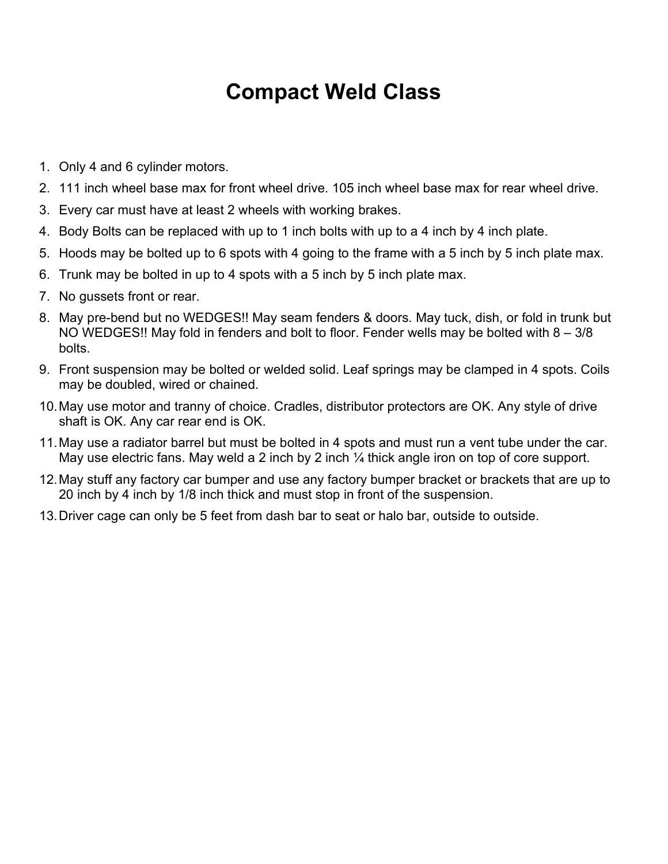## Compact Weld Class

- 1. Only 4 and 6 cylinder motors.
- 2. 111 inch wheel base max for front wheel drive. 105 inch wheel base max for rear wheel drive.
- 3. Every car must have at least 2 wheels with working brakes.
- 4. Body Bolts can be replaced with up to 1 inch bolts with up to a 4 inch by 4 inch plate.
- 5. Hoods may be bolted up to 6 spots with 4 going to the frame with a 5 inch by 5 inch plate max.
- 6. Trunk may be bolted in up to 4 spots with a 5 inch by 5 inch plate max.
- 7. No gussets front or rear.
- 8. May pre-bend but no WEDGES!! May seam fenders & doors. May tuck, dish, or fold in trunk but NO WEDGES!! May fold in fenders and bolt to floor. Fender wells may be bolted with 8 – 3/8 bolts.
- 9. Front suspension may be bolted or welded solid. Leaf springs may be clamped in 4 spots. Coils may be doubled, wired or chained.
- 10. May use motor and tranny of choice. Cradles, distributor protectors are OK. Any style of drive shaft is OK. Any car rear end is OK.
- 11. May use a radiator barrel but must be bolted in 4 spots and must run a vent tube under the car. May use electric fans. May weld a 2 inch by 2 inch  $\frac{1}{4}$  thick angle iron on top of core support.
- 12. May stuff any factory car bumper and use any factory bumper bracket or brackets that are up to 20 inch by 4 inch by 1/8 inch thick and must stop in front of the suspension.
- 13. Driver cage can only be 5 feet from dash bar to seat or halo bar, outside to outside.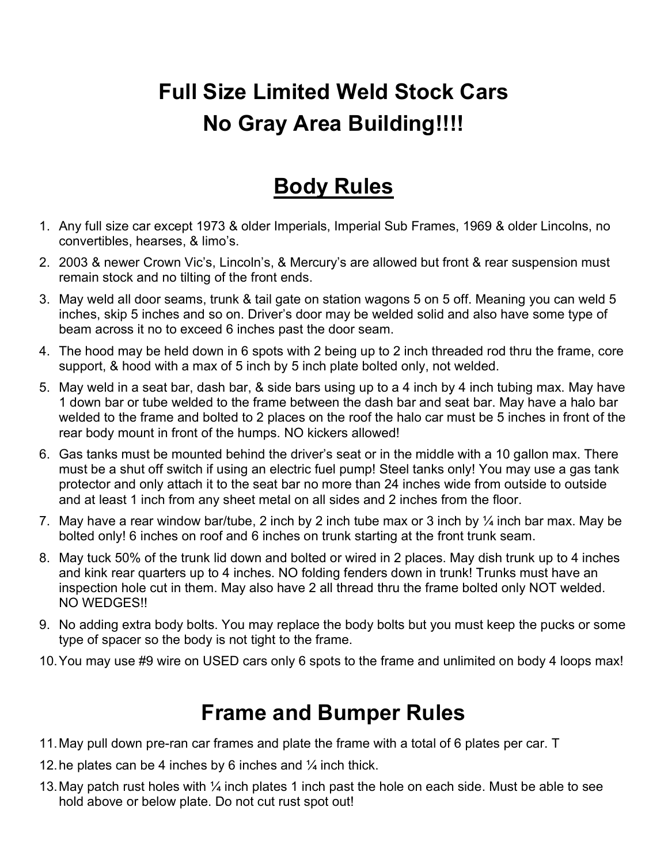# Full Size Limited Weld Stock Cars No Gray Area Building!!!!

## Body Rules

- 1. Any full size car except 1973 & older Imperials, Imperial Sub Frames, 1969 & older Lincolns, no convertibles, hearses, & limo's.
- 2. 2003 & newer Crown Vic's, Lincoln's, & Mercury's are allowed but front & rear suspension must remain stock and no tilting of the front ends.
- 3. May weld all door seams, trunk & tail gate on station wagons 5 on 5 off. Meaning you can weld 5 inches, skip 5 inches and so on. Driver's door may be welded solid and also have some type of beam across it no to exceed 6 inches past the door seam.
- 4. The hood may be held down in 6 spots with 2 being up to 2 inch threaded rod thru the frame, core support, & hood with a max of 5 inch by 5 inch plate bolted only, not welded.
- 5. May weld in a seat bar, dash bar, & side bars using up to a 4 inch by 4 inch tubing max. May have 1 down bar or tube welded to the frame between the dash bar and seat bar. May have a halo bar welded to the frame and bolted to 2 places on the roof the halo car must be 5 inches in front of the rear body mount in front of the humps. NO kickers allowed!
- 6. Gas tanks must be mounted behind the driver's seat or in the middle with a 10 gallon max. There must be a shut off switch if using an electric fuel pump! Steel tanks only! You may use a gas tank protector and only attach it to the seat bar no more than 24 inches wide from outside to outside and at least 1 inch from any sheet metal on all sides and 2 inches from the floor.
- 7. May have a rear window bar/tube, 2 inch by 2 inch tube max or 3 inch by  $\frac{1}{4}$  inch bar max. May be bolted only! 6 inches on roof and 6 inches on trunk starting at the front trunk seam.
- 8. May tuck 50% of the trunk lid down and bolted or wired in 2 places. May dish trunk up to 4 inches and kink rear quarters up to 4 inches. NO folding fenders down in trunk! Trunks must have an inspection hole cut in them. May also have 2 all thread thru the frame bolted only NOT welded. NO WEDGES!!
- 9. No adding extra body bolts. You may replace the body bolts but you must keep the pucks or some type of spacer so the body is not tight to the frame.
- 10. You may use #9 wire on USED cars only 6 spots to the frame and unlimited on body 4 loops max!

#### Frame and Bumper Rules

- 11. May pull down pre-ran car frames and plate the frame with a total of 6 plates per car. T
- 12. he plates can be 4 inches by 6 inches and  $\frac{1}{4}$  inch thick.
- 13. May patch rust holes with  $\frac{1}{4}$  inch plates 1 inch past the hole on each side. Must be able to see hold above or below plate. Do not cut rust spot out!